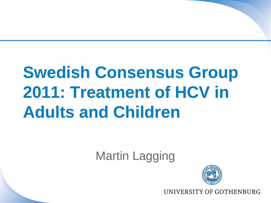# **Swedish Consensus Group 2011: Treatment of HCV in Adults and Children**

Martin Lagging



**VERSITY OF GOTHENBURG**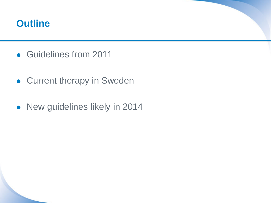#### **Outline**

- Guidelines from 2011
- **Current therapy in Sweden**
- New guidelines likely in 2014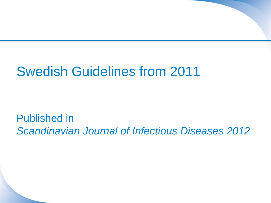# Swedish Guidelines from 2011

Published in *Scandinavian Journal of Infectious Diseases 2012*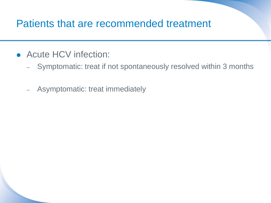- Acute HCV infection:
	- Symptomatic: treat if not spontaneously resolved within 3 months
	- Asymptomatic: treat immediately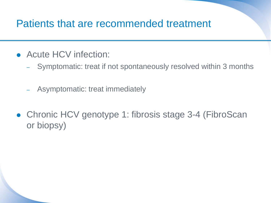- Acute HCV infection:
	- Symptomatic: treat if not spontaneously resolved within 3 months
	- Asymptomatic: treat immediately
- Chronic HCV genotype 1: fibrosis stage 3-4 (FibroScan or biopsy)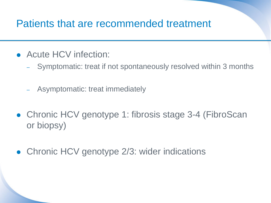- Acute HCV infection:
	- Symptomatic: treat if not spontaneously resolved within 3 months
	- Asymptomatic: treat immediately
- Chronic HCV genotype 1: fibrosis stage 3-4 (FibroScan or biopsy)
- Chronic HCV genotype 2/3: wider indications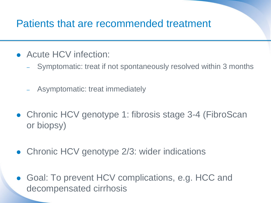- Acute HCV infection:
	- Symptomatic: treat if not spontaneously resolved within 3 months
	- Asymptomatic: treat immediately
- Chronic HCV genotype 1: fibrosis stage 3-4 (FibroScan or biopsy)
- Chronic HCV genotype 2/3: wider indications
- Goal: To prevent HCV complications, e.g. HCC and decompensated cirrhosis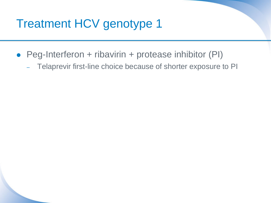### Treatment HCV genotype 1

- Peg-Interferon + ribavirin + protease inhibitor (PI)
	- Telaprevir first-line choice because of shorter exposure to PI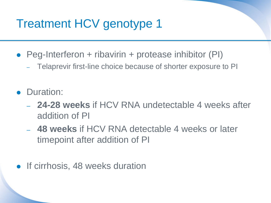### Treatment HCV genotype 1

- Peg-Interferon + ribavirin + protease inhibitor (PI)
	- Telaprevir first-line choice because of shorter exposure to PI
- Duration:
	- **24-28 weeks** if HCV RNA undetectable 4 weeks after addition of PI
	- **48 weeks** if HCV RNA detectable 4 weeks or later timepoint after addition of PI
- If cirrhosis, 48 weeks duration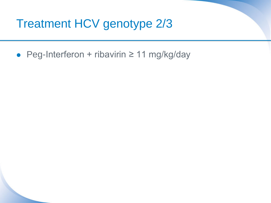### Treatment HCV genotype 2/3

Peg-Interferon + ribavirin ≥ 11 mg/kg/day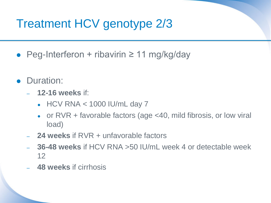## Treatment HCV genotype 2/3

- Peg-Interferon + ribavirin  $\geq 11$  mg/kg/day
- Duration:
	- **12-16 weeks** if:
		- $\bullet$  HCV RNA < 1000 IU/mL day 7
		- or  $RVR +$  favorable factors (age  $<$  40, mild fibrosis, or low viral load)
	- **24 weeks** if RVR + unfavorable factors
	- **36-48 weeks** if HCV RNA >50 IU/mL week 4 or detectable week 12
	- **48 weeks** if cirrhosis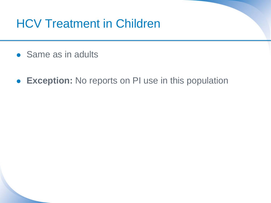### HCV Treatment in Children

- Same as in adults
- **Exception:** No reports on PI use in this population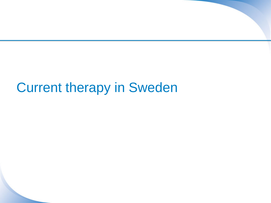# Current therapy in Sweden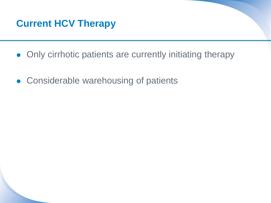

- Only cirrhotic patients are currently initiating therapy
- **Considerable warehousing of patients**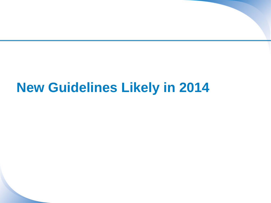# **New Guidelines Likely in 2014**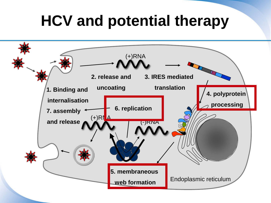# **HCV and potential therapy**

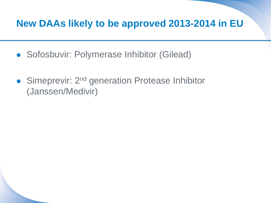### **New DAAs likely to be approved 2013-2014 in EU**

- **Sofosbuvir: Polymerase Inhibitor (Gilead)**
- Simeprevir: 2<sup>nd</sup> generation Protease Inhibitor (Janssen/Medivir)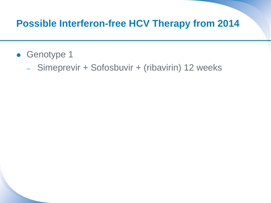### **Possible Interferon-free HCV Therapy from 2014**

- Genotype 1
	- Simeprevir + Sofosbuvir + (ribavirin) 12 weeks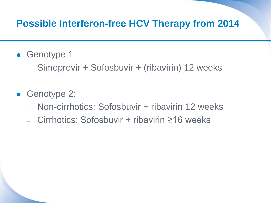### **Possible Interferon-free HCV Therapy from 2014**

- Genotype 1
	- Simeprevir + Sofosbuvir + (ribavirin) 12 weeks
- Genotype 2:
	- Non-cirrhotics: Sofosbuvir + ribavirin 12 weeks
	- Cirrhotics: Sofosbuvir + ribavirin ≥16 weeks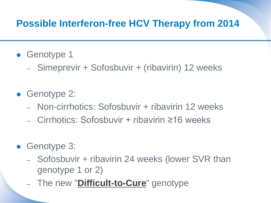### **Possible Interferon-free HCV Therapy from 2014**

- Genotype 1
	- Simeprevir + Sofosbuvir + (ribavirin) 12 weeks
- Genotype 2:
	- Non-cirrhotics: Sofosbuvir + ribavirin 12 weeks
	- Cirrhotics: Sofosbuvir + ribavirin ≥16 weeks
- Genotype 3:
	- Sofosbuvir + ribavirin 24 weeks (lower SVR than genotype 1 or 2)
	- The new "**Difficult-to-Cure**" genotype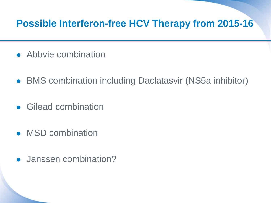### **Possible Interferon-free HCV Therapy from 2015-16**

- Abbvie combination
- BMS combination including Daclatasvir (NS5a inhibitor)
- Gilead combination
- MSD combination
- Janssen combination?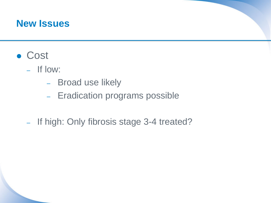#### **New Issues**

- **Cost** 
	- If low:
		- Broad use likely
		- Eradication programs possible
	- If high: Only fibrosis stage 3-4 treated?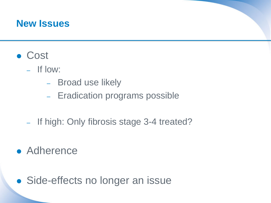#### **New Issues**

- **Cost** 
	- If low:
		- Broad use likely
		- Eradication programs possible
	- If high: Only fibrosis stage 3-4 treated?
- Adherence
- Side-effects no longer an issue